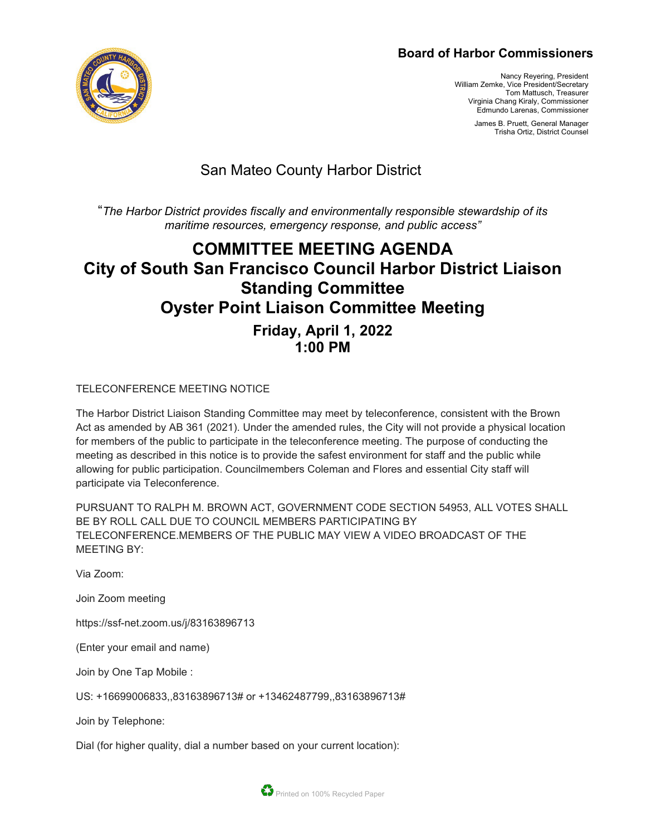### **Board of Harbor Commissioners**

Nancy Reyering, President William Zemke, Vice President/Secretary Tom Mattusch, Treasurer Virginia Chang Kiraly, Commissioner Edmundo Larenas, Commissioner

> James B. Pruett, General Manager Trisha Ortiz, District Counsel

## San Mateo County Harbor District

"*The Harbor District provides fiscally and environmentally responsible stewardship of its maritime resources, emergency response, and public access"*

# **COMMITTEE MEETING AGENDA City of South San Francisco Council Harbor District Liaison Standing Committee Oyster Point Liaison Committee Meeting Friday, April 1, 2022 1:00 PM**

TELECONFERENCE MEETING NOTICE

The Harbor District Liaison Standing Committee may meet by teleconference, consistent with the Brown Act as amended by AB 361 (2021). Under the amended rules, the City will not provide a physical location for members of the public to participate in the teleconference meeting. The purpose of conducting the meeting as described in this notice is to provide the safest environment for staff and the public while allowing for public participation. Councilmembers Coleman and Flores and essential City staff will participate via Teleconference.

PURSUANT TO RALPH M. BROWN ACT, GOVERNMENT CODE SECTION 54953, ALL VOTES SHALL BE BY ROLL CALL DUE TO COUNCIL MEMBERS PARTICIPATING BY TELECONFERENCE.MEMBERS OF THE PUBLIC MAY VIEW A VIDEO BROADCAST OF THE MEETING BY:

Via Zoom:

Join Zoom meeting

https://ssf-net.zoom.us/j/83163896713

(Enter your email and name)

Join by One Tap Mobile :

US: +16699006833,,83163896713# or +13462487799,,83163896713#

Join by Telephone:

Dial (for higher quality, dial a number based on your current location):

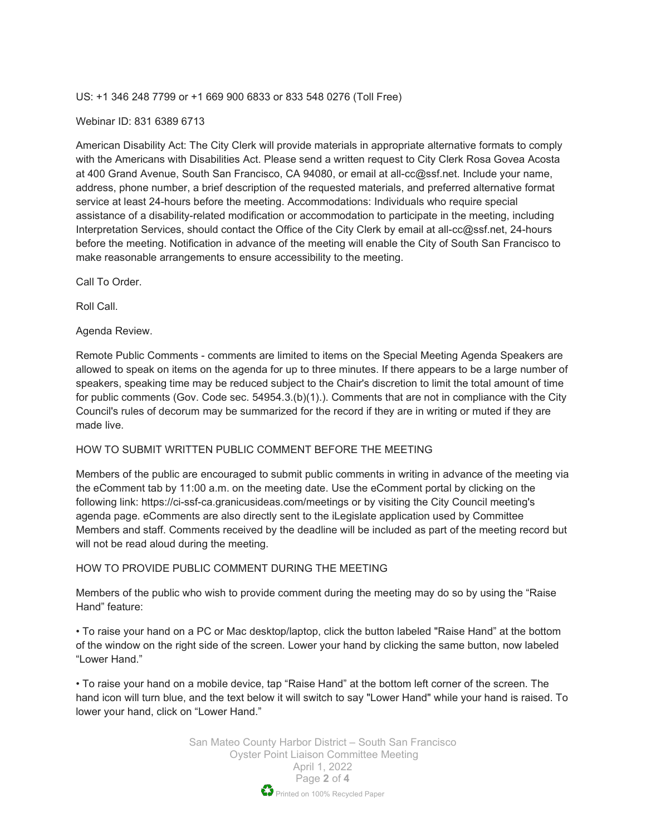US: +1 346 248 7799 or +1 669 900 6833 or 833 548 0276 (Toll Free)

#### Webinar ID: 831 6389 6713

American Disability Act: The City Clerk will provide materials in appropriate alternative formats to comply with the Americans with Disabilities Act. Please send a written request to City Clerk Rosa Govea Acosta at 400 Grand Avenue, South San Francisco, CA 94080, or email at all-cc@ssf.net. Include your name, address, phone number, a brief description of the requested materials, and preferred alternative format service at least 24-hours before the meeting. Accommodations: Individuals who require special assistance of a disability-related modification or accommodation to participate in the meeting, including Interpretation Services, should contact the Office of the City Clerk by email at all-cc@ssf.net, 24-hours before the meeting. Notification in advance of the meeting will enable the City of South San Francisco to make reasonable arrangements to ensure accessibility to the meeting.

Call To Order.

Roll Call.

Agenda Review.

Remote Public Comments - comments are limited to items on the Special Meeting Agenda Speakers are allowed to speak on items on the agenda for up to three minutes. If there appears to be a large number of speakers, speaking time may be reduced subject to the Chair's discretion to limit the total amount of time for public comments (Gov. Code sec. 54954.3.(b)(1).). Comments that are not in compliance with the City Council's rules of decorum may be summarized for the record if they are in writing or muted if they are made live.

#### HOW TO SUBMIT WRITTEN PUBLIC COMMENT BEFORE THE MEETING

Members of the public are encouraged to submit public comments in writing in advance of the meeting via the eComment tab by 11:00 a.m. on the meeting date. Use the eComment portal by clicking on the following link: https://ci-ssf-ca.granicusideas.com/meetings or by visiting the City Council meeting's agenda page. eComments are also directly sent to the iLegislate application used by Committee Members and staff. Comments received by the deadline will be included as part of the meeting record but will not be read aloud during the meeting.

#### HOW TO PROVIDE PUBLIC COMMENT DURING THE MEETING

Members of the public who wish to provide comment during the meeting may do so by using the "Raise Hand" feature:

• To raise your hand on a PC or Mac desktop/laptop, click the button labeled "Raise Hand" at the bottom of the window on the right side of the screen. Lower your hand by clicking the same button, now labeled "Lower Hand."

• To raise your hand on a mobile device, tap "Raise Hand" at the bottom left corner of the screen. The hand icon will turn blue, and the text below it will switch to say "Lower Hand" while your hand is raised. To lower your hand, click on "Lower Hand."

> San Mateo County Harbor District – South San Francisco Oyster Point Liaison Committee Meeting April 1, 2022 Page **2** of **4** Printed on 100% Recycled Paper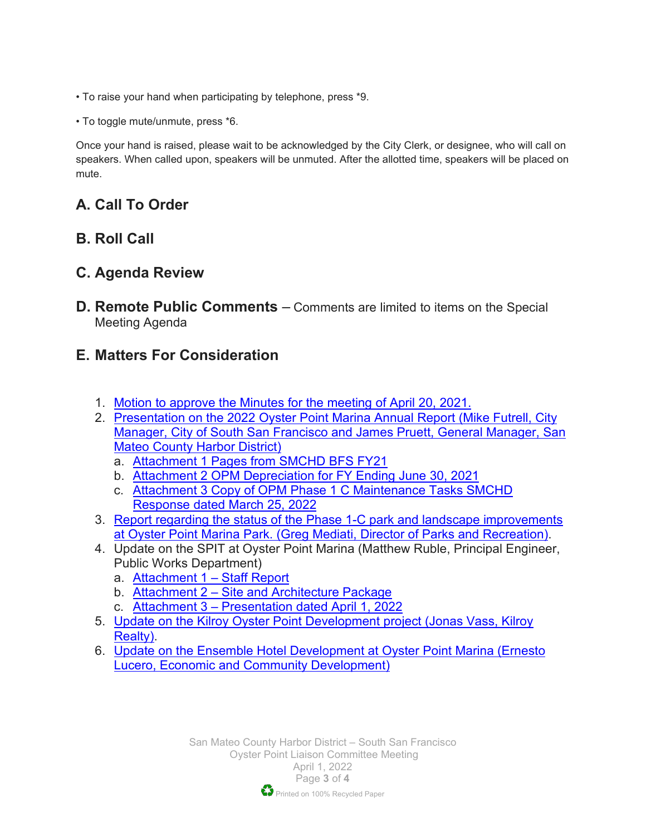- To raise your hand when participating by telephone, press \*9.
- To toggle mute/unmute, press \*6.

Once your hand is raised, please wait to be acknowledged by the City Clerk, or designee, who will call on speakers. When called upon, speakers will be unmuted. After the allotted time, speakers will be placed on mute.

## **A. Call To Order**

### **B. Roll Call**

### **C. Agenda Review**

**D. Remote Public Comments** – Comments are limited to items on the Special Meeting Agenda

## **E. Matters For Consideration**

- 1. Motion to [approve the Minutes for the meeting of April 20, 2021.](https://www.smharbor.com/files/44b04ebe7/2022_04_01_Item+1.pdf)
- 2. [Presentation on the 2022 Oyster Point Marina Annual Report \(Mike Futrell, City](https://www.smharbor.com/files/6ba9656aa/2022_04_01_Item+2+Att+1+SMCHD+SSF+Annual+Report.pdf)  [Manager, City of South San Francisco and James Pruett, General Manager, San](https://www.smharbor.com/files/6ba9656aa/2022_04_01_Item+2+Att+1+SMCHD+SSF+Annual+Report.pdf)  [Mateo County Harbor District\)](https://www.smharbor.com/files/6ba9656aa/2022_04_01_Item+2+Att+1+SMCHD+SSF+Annual+Report.pdf)
	- a. [Attachment 1 Pages from SMCHD BFS FY21](https://www.smharbor.com/files/beebfa854/2022_04_01_Item+2+Att+2+SMCHD+SSF+Annual+Report.pdf)
	- b. [Attachment 2 OPM Depreciation for FY Ending June 30, 2021](https://www.smharbor.com/files/1a19fc909/2022_04_01_Item+2+Att+3+SMCHD+SSF+Annual+Report.pdf)
	- c. [Attachment 3 Copy of OPM Phase 1 C Maintenance](https://www.smharbor.com/files/4d18891f5/2022_04_01_Item+2+Att+4+SMCHD+SSF+Annual+Report.pdf) Tasks SMCHD [Response dated March 25, 2022](https://www.smharbor.com/files/4d18891f5/2022_04_01_Item+2+Att+4+SMCHD+SSF+Annual+Report.pdf)
- 3. [Report regarding the status of the Phase 1-C park and landscape improvements](https://www.smharbor.com/files/3443da3bb/2022_04_01_Item+3_Oyster+Point+Marina+Park+Update.pdf)  [at Oyster Point Marina Park. \(Greg Mediati, Director of Parks and Recreation\).](https://www.smharbor.com/files/3443da3bb/2022_04_01_Item+3_Oyster+Point+Marina+Park+Update.pdf)
- 4. Update on the SPIT at Oyster Point Marina (Matthew Ruble, Principal Engineer, Public Works Department)
	- a. [Attachment 1 Staff Report](https://www.smharbor.com/files/a7257175a/2022_04_01_Item_4+Attachment+1+-+Staff+Report.pdf)
	- b. [Attachment 2 Site and Architecture Package](https://www.smharbor.com/files/f5d9a49b3/2022_04_01_Item_4_Attachment+2+-+Site+and+Architecture+Package.pdf)
	- c. [Attachment 3 Presentation dated April 1, 2022](https://www.smharbor.com/files/ae6b24024/2022_04_01_Item_4_Attachment+3+-+Presentation+4.1.pdf)
- 5. [Update on the Kilroy Oyster Point Development project \(Jonas Vass, Kilroy](https://www.smharbor.com/files/e862cfe34/2022_04_01_Item_5_220328_Kilroy_KOP_Harbor+District+Presentation.pdf)  [Realty\).](https://www.smharbor.com/files/e862cfe34/2022_04_01_Item_5_220328_Kilroy_KOP_Harbor+District+Presentation.pdf)
- 6. [Update on the Ensemble Hotel Development at Oyster Point Marina \(Ernesto](https://www.smharbor.com/files/bdac67073/2022_04_01_Item_6_Update+on+Ensemble+Hotel+Development+at+Oyster+Point.pdf)  [Lucero, Economic and Community Development\)](https://www.smharbor.com/files/bdac67073/2022_04_01_Item_6_Update+on+Ensemble+Hotel+Development+at+Oyster+Point.pdf)